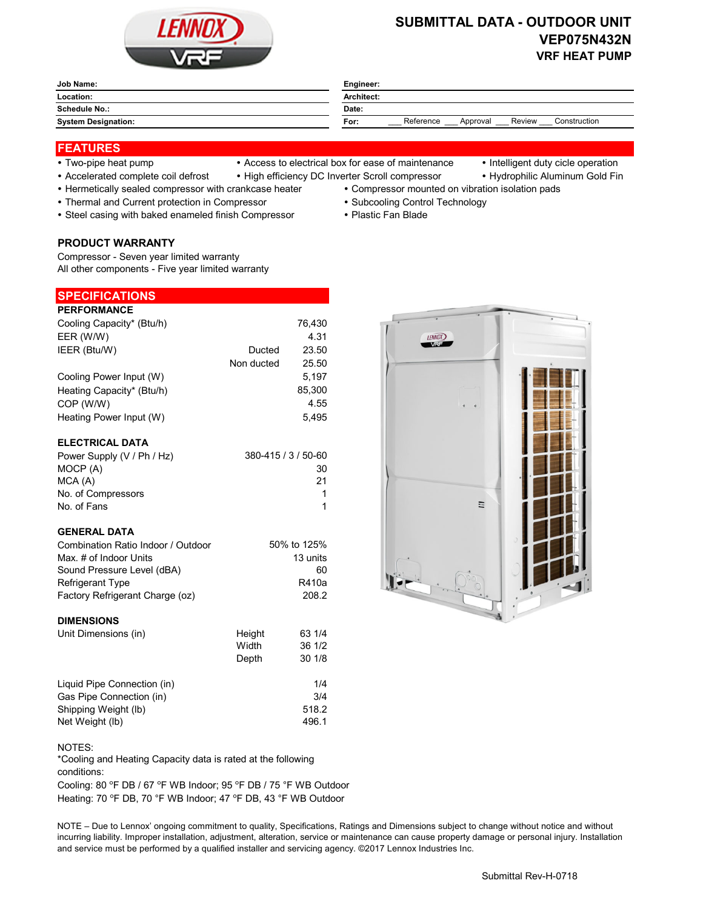

# **SUBMITTAL DATA - OUTDOOR UNIT VEP075N432N VRF HEAT PUMP**

| <b>Job Name:</b>           | Engineer:                                               |  |  |
|----------------------------|---------------------------------------------------------|--|--|
| Location:                  | Architect:                                              |  |  |
| Schedule No.:              | Date:                                                   |  |  |
| <b>System Designation:</b> | Reference<br>Construction<br>Review<br>Approval<br>For: |  |  |
|                            |                                                         |  |  |

# **FEATURES**

- 
- Accelerated complete coil defrost High efficiency DC Inverter Scroll compressor Hydrophilic Aluminum Gold Fin
- 
- Two-pipe heat pump Access to electrical box for ease of maintenance Intelligent duty cicle operation
	-
- Hermetically sealed compressor with crankcase heater Compressor mounted on vibration isolation pads
- Thermal and Current protection in Compressor \* Subcooling Control Technology
- Steel casing with baked enameled finish Compressor Plastic Fan Blade

### **PRODUCT WARRANTY**

Compressor - Seven year limited warranty All other components - Five year limited warranty

| <b>SPECIFICATIONS</b>     |            |        |
|---------------------------|------------|--------|
| <b>PERFORMANCE</b>        |            |        |
| Cooling Capacity* (Btu/h) |            | 76,430 |
| EER (W/W)                 |            | 4.31   |
| IEER (Btu/W)              | Ducted     | 23.50  |
|                           | Non ducted | 25.50  |
| Cooling Power Input (W)   |            | 5.197  |
| Heating Capacity* (Btu/h) |            | 85,300 |
| COP (W/W)                 |            | 4.55   |
| Heating Power Input (W)   |            | 5.495  |
|                           |            |        |

### **ELECTRICAL DATA**

| Power Supply (V / Ph / Hz) | 380-415 / 3 / 50-60 |
|----------------------------|---------------------|
| MOCP (A)                   | 30                  |
| MCA (A)                    | 21                  |
| No. of Compressors         |                     |
| No. of Fans                |                     |

# **GENERAL DATA**

| Combination Ratio Indoor / Outdoor | 50% to 125% |
|------------------------------------|-------------|
| Max. # of Indoor Units             | 13 units    |
| Sound Pressure Level (dBA)         | 60.         |
| <b>Refrigerant Type</b>            | R410a       |
| Factory Refrigerant Charge (oz)    | 208.2       |

#### **DIMENSIONS**

| Unit Dimensions (in)        | Height<br>Width<br>Depth | 63 1/4<br>36 1/2<br>30 1/8 |
|-----------------------------|--------------------------|----------------------------|
| Liquid Pipe Connection (in) |                          | 1/4                        |
| Gas Pipe Connection (in)    |                          | 3/4                        |
| Shipping Weight (lb)        |                          | 518.2                      |
| Net Weight (lb)             |                          | 496.1                      |

### NOTES:

\*Cooling and Heating Capacity data is rated at the following conditions:

Cooling: 80 °F DB / 67 °F WB Indoor; 95 °F DB / 75 °F WB Outdoor Heating: 70 °F DB, 70 °F WB Indoor; 47 °F DB, 43 °F WB Outdoor

NOTE – Due to Lennox' ongoing commitment to quality, Specifications, Ratings and Dimensions subject to change without notice and without incurring liability. Improper installation, adjustment, alteration, service or maintenance can cause property damage or personal injury. Installation and service must be performed by a qualified installer and servicing agency. ©2017 Lennox Industries Inc.